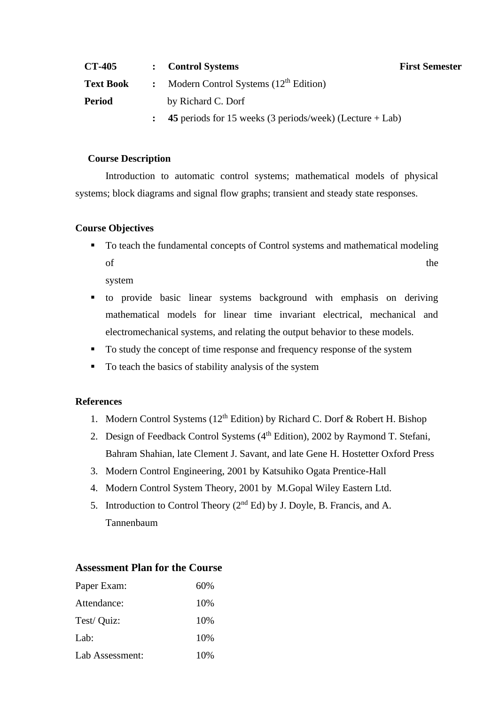| <b>CT-405</b>    | <b>Control Systems</b>                                     | <b>First Semester</b> |
|------------------|------------------------------------------------------------|-----------------------|
| <b>Text Book</b> | : Modern Control Systems $(12th Edition)$                  |                       |
| <b>Period</b>    | by Richard C. Dorf                                         |                       |
|                  | 45 periods for 15 weeks (3 periods/week) (Lecture $+$ Lab) |                       |

#### **Course Description**

Introduction to automatic control systems; mathematical models of physical systems; block diagrams and signal flow graphs; transient and steady state responses.

#### **Course Objectives**

■ To teach the fundamental concepts of Control systems and mathematical modeling of the state of the state  $\mathbf{r}$  the state of the state  $\mathbf{r}$ 

system

- to provide basic linear systems background with emphasis on deriving mathematical models for linear time invariant electrical, mechanical and electromechanical systems, and relating the output behavior to these models.
- To study the concept of time response and frequency response of the system
- To teach the basics of stability analysis of the system

### **References**

- 1. Modern Control Systems ( $12<sup>th</sup>$  Edition) by Richard C. Dorf & Robert H. Bishop
- 2. Design of Feedback Control Systems  $(4<sup>th</sup> Edition)$ , 2002 by Raymond T. Stefani, Bahram Shahian, late Clement J. Savant, and late Gene H. Hostetter Oxford Press
- 3. Modern Control Engineering, 2001 by Katsuhiko Ogata Prentice-Hall
- 4. Modern Control System Theory, 2001 by M.Gopal Wiley Eastern Ltd.
- 5. Introduction to Control Theory (2nd Ed) by J. Doyle, B. Francis, and A. Tannenbaum

## **Assessment Plan for the Course**

| Paper Exam:     | 60% |
|-----------------|-----|
| Attendance:     | 10% |
| Test/ Quiz:     | 10% |
| Lab:            | 10% |
| Lab Assessment: | 10% |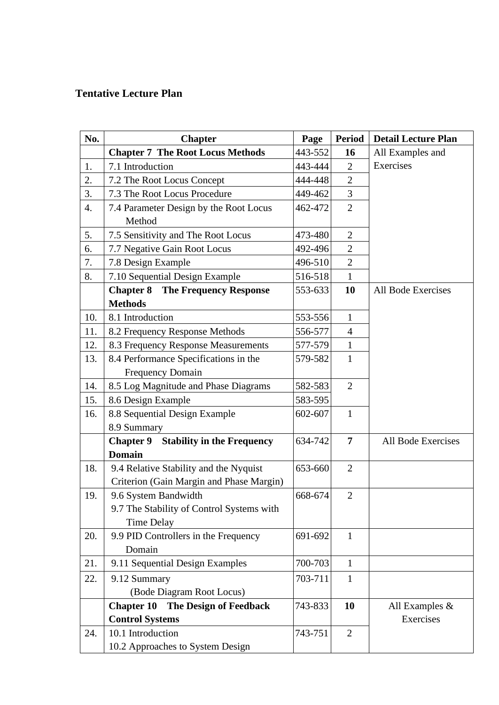# **Tentative Lecture Plan**

| No. | <b>Chapter</b>                              | Page    | <b>Period</b>  | <b>Detail Lecture Plan</b> |
|-----|---------------------------------------------|---------|----------------|----------------------------|
|     | <b>Chapter 7 The Root Locus Methods</b>     | 443-552 | 16             | All Examples and           |
| 1.  | 7.1 Introduction                            | 443-444 | $\overline{2}$ | Exercises                  |
| 2.  | 7.2 The Root Locus Concept                  | 444-448 | $\overline{2}$ |                            |
| 3.  | 7.3 The Root Locus Procedure                | 449-462 | 3              |                            |
| 4.  | 7.4 Parameter Design by the Root Locus      |         | $\overline{2}$ |                            |
|     | Method                                      |         |                |                            |
| 5.  | 7.5 Sensitivity and The Root Locus          | 473-480 | $\overline{2}$ |                            |
| 6.  | 7.7 Negative Gain Root Locus                | 492-496 | $\overline{2}$ |                            |
| 7.  | 7.8 Design Example                          | 496-510 | $\overline{2}$ |                            |
| 8.  | 7.10 Sequential Design Example              | 516-518 | $\mathbf{1}$   |                            |
|     | <b>Chapter 8</b> The Frequency Response     | 553-633 | 10             | All Bode Exercises         |
|     | <b>Methods</b>                              |         |                |                            |
| 10. | 8.1 Introduction                            | 553-556 | 1              |                            |
| 11. | 8.2 Frequency Response Methods              | 556-577 | $\overline{4}$ |                            |
| 12. | 8.3 Frequency Response Measurements         | 577-579 | $\mathbf{1}$   |                            |
| 13. | 8.4 Performance Specifications in the       | 579-582 | $\mathbf{1}$   |                            |
|     | <b>Frequency Domain</b>                     |         |                |                            |
| 14. | 8.5 Log Magnitude and Phase Diagrams        | 582-583 | $\overline{2}$ |                            |
| 15. | 8.6 Design Example                          | 583-595 |                |                            |
| 16. | 8.8 Sequential Design Example               | 602-607 | $\mathbf{1}$   |                            |
|     | 8.9 Summary                                 |         |                |                            |
|     | <b>Chapter 9</b> Stability in the Frequency | 634-742 | $\overline{7}$ | All Bode Exercises         |
|     | <b>Domain</b>                               |         |                |                            |
| 18. | 9.4 Relative Stability and the Nyquist      | 653-660 | $\overline{2}$ |                            |
|     | Criterion (Gain Margin and Phase Margin)    |         |                |                            |
| 19. | 9.6 System Bandwidth                        | 668-674 | $\overline{2}$ |                            |
|     | 9.7 The Stability of Control Systems with   |         |                |                            |
|     | <b>Time Delay</b>                           |         |                |                            |
| 20. | 9.9 PID Controllers in the Frequency        | 691-692 | $\mathbf{1}$   |                            |
|     | Domain                                      |         |                |                            |
| 21. | 9.11 Sequential Design Examples             | 700-703 | $\mathbf{1}$   |                            |
| 22. | 9.12 Summary                                | 703-711 | $\mathbf{1}$   |                            |
|     | (Bode Diagram Root Locus)                   |         |                |                            |
|     | The Design of Feedback<br><b>Chapter 10</b> | 743-833 | 10             | All Examples &             |
|     | <b>Control Systems</b>                      |         |                | Exercises                  |
| 24. | 10.1 Introduction                           | 743-751 | $\overline{2}$ |                            |
|     | 10.2 Approaches to System Design            |         |                |                            |